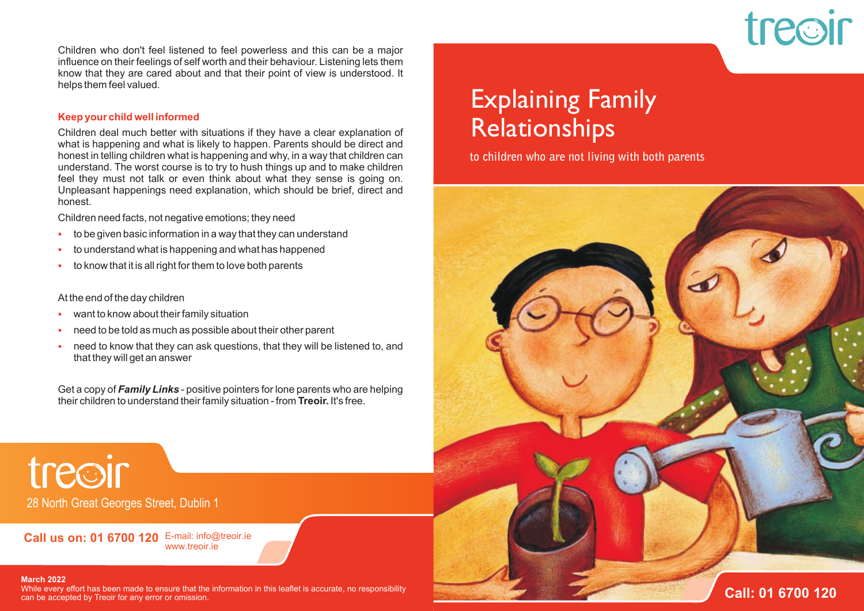

Children who don't feel listened to feel powerless and this can be a major influence on their feelings of self worth and their behaviour. Listening lets them know that they are cared about and that their point of view is understood. It helps them feel valued.

### **Keep your child well informed**

Children deal much better with situations if they have a clear explanation of what is happening and what is likely to happen. Parents should be direct and honest in telling children what is happening and why, in a way that children can understand. The worst course is to try to hush things up and to make children feel they must not talk or even think about what they sense is going on. Unpleasant happenings need explanation, which should be brief, direct and honest.

Children need facts, not negative emotions; they need

- to be given basic information in a way that they can understand m.
- to understand what is happening and what has happened F
- to know that it is all right for them to love both parents  $\mathbf{H}$  .

### At the end of the day children

- want to know about their family situation  $\mathbf{R}^{\mathrm{max}}$
- need to be told as much as possible about their other parent F
- need to know that they can ask questions, that they will be listened to, and that they will get an answer F

Get a copy of *Family Links* - positive pointers for lone parents who are helping their children to understand their family situation - from **Treoir.** It's free.

treoir 28 North Great Georges Street, Dublin 1

**Call us on: 01 6700 120** E-mail: info@treoir.ie www.treoir.ie

#### **March 2022**

While every effort has been made to ensure that the information in this leaflet is accurate, no responsibility can be accepted by Treoir for any error or omission.

### Explaining Family Relationships

**to children who are not living with both parents**